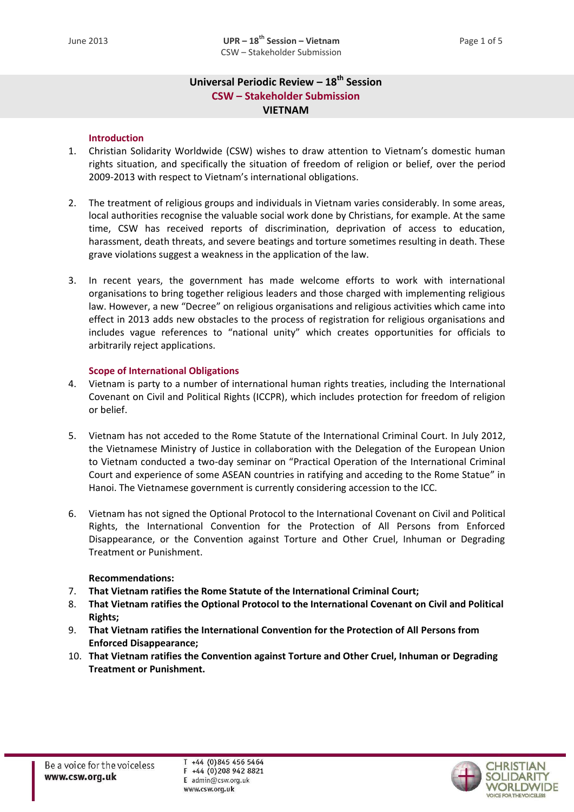# **Universal Periodic Review – 18 th Session CSW – Stakeholder Submission VIETNAM**

## **Introduction**

- 1. Christian Solidarity Worldwide (CSW) wishes to draw attention to Vietnam's domestic human rights situation, and specifically the situation of freedom of religion or belief, over the period 2009-2013 with respect to Vietnam's international obligations.
- 2. The treatment of religious groups and individuals in Vietnam varies considerably. In some areas, local authorities recognise the valuable social work done by Christians, for example. At the same time, CSW has received reports of discrimination, deprivation of access to education, harassment, death threats, and severe beatings and torture sometimes resulting in death. These grave violations suggest a weakness in the application of the law.
- 3. In recent years, the government has made welcome efforts to work with international organisations to bring together religious leaders and those charged with implementing religious law. However, a new "Decree" on religious organisations and religious activities which came into effect in 2013 adds new obstacles to the process of registration for religious organisations and includes vague references to "national unity" which creates opportunities for officials to arbitrarily reject applications.

## **Scope of International Obligations**

- 4. Vietnam is party to a number of international human rights treaties, including the International Covenant on Civil and Political Rights (ICCPR), which includes protection for freedom of religion or belief.
- 5. Vietnam has not acceded to the Rome Statute of the International Criminal Court. In July 2012, the Vietnamese Ministry of Justice in collaboration with the Delegation of the European Union to Vietnam conducted a two-day seminar on "Practical Operation of the International Criminal Court and experience of some ASEAN countries in ratifying and acceding to the Rome Statue" in Hanoi. The Vietnamese government is currently considering accession to the ICC.
- 6. Vietnam has not signed the Optional Protocol to the International Covenant on Civil and Political Rights, the International Convention for the Protection of All Persons from Enforced Disappearance, or the Convention against Torture and Other Cruel, Inhuman or Degrading Treatment or Punishment.

## **Recommendations:**

- 7. **That Vietnam ratifies the Rome Statute of the International Criminal Court;**
- 8. **That Vietnam ratifies the Optional Protocol to the International Covenant on Civil and Political Rights;**
- 9. **That Vietnam ratifies the International Convention for the Protection of All Persons from Enforced Disappearance;**
- 10. **That Vietnam ratifies the Convention against Torture and Other Cruel, Inhuman or Degrading Treatment or Punishment.**

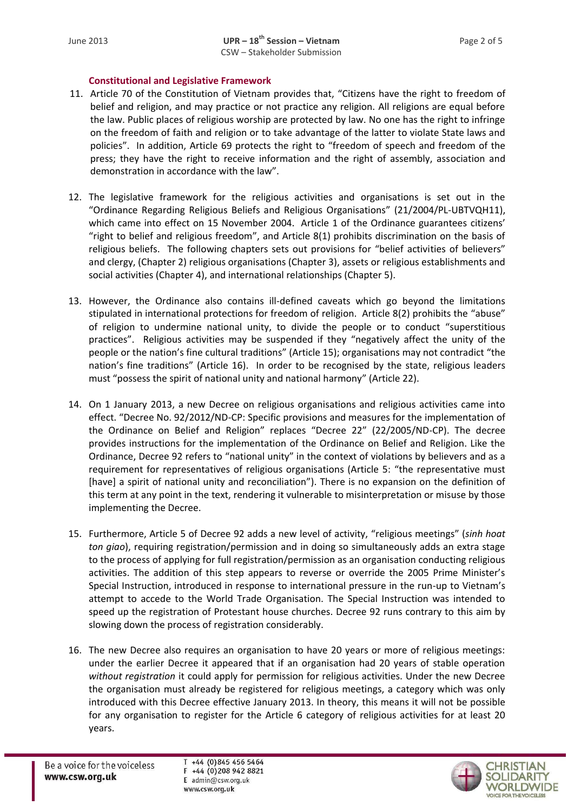## **Constitutional and Legislative Framework**

- 11. Article 70 of the Constitution of Vietnam provides that, "Citizens have the right to freedom of belief and religion, and may practice or not practice any religion. All religions are equal before the law. Public places of religious worship are protected by law. No one has the right to infringe on the freedom of faith and religion or to take advantage of the latter to violate State laws and policies". In addition, Article 69 protects the right to "freedom of speech and freedom of the press; they have the right to receive information and the right of assembly, association and demonstration in accordance with the law".
- 12. The legislative framework for the religious activities and organisations is set out in the "Ordinance Regarding Religious Beliefs and Religious Organisations" (21/2004/PL-UBTVQH11), which came into effect on 15 November 2004. Article 1 of the Ordinance guarantees citizens' "right to belief and religious freedom", and Article 8(1) prohibits discrimination on the basis of religious beliefs. The following chapters sets out provisions for "belief activities of believers" and clergy, (Chapter 2) religious organisations (Chapter 3), assets or religious establishments and social activities (Chapter 4), and international relationships (Chapter 5).
- 13. However, the Ordinance also contains ill-defined caveats which go beyond the limitations stipulated in international protections for freedom of religion. Article 8(2) prohibits the "abuse" of religion to undermine national unity, to divide the people or to conduct "superstitious practices". Religious activities may be suspended if they "negatively affect the unity of the people or the nation's fine cultural traditions" (Article 15); organisations may not contradict "the nation's fine traditions" (Article 16). In order to be recognised by the state, religious leaders must "possess the spirit of national unity and national harmony" (Article 22).
- 14. On 1 January 2013, a new Decree on religious organisations and religious activities came into effect. "Decree No. 92/2012/ND-CP: Specific provisions and measures for the implementation of the Ordinance on Belief and Religion" replaces "Decree 22" (22/2005/ND-CP). The decree provides instructions for the implementation of the Ordinance on Belief and Religion. Like the Ordinance, Decree 92 refers to "national unity" in the context of violations by believers and as a requirement for representatives of religious organisations (Article 5: "the representative must [have] a spirit of national unity and reconciliation"). There is no expansion on the definition of this term at any point in the text, rendering it vulnerable to misinterpretation or misuse by those implementing the Decree.
- 15. Furthermore, Article 5 of Decree 92 adds a new level of activity, "religious meetings" (*sinh hoat ton giao*), requiring registration/permission and in doing so simultaneously adds an extra stage to the process of applying for full registration/permission as an organisation conducting religious activities. The addition of this step appears to reverse or override the 2005 Prime Minister's Special Instruction, introduced in response to international pressure in the run-up to Vietnam's attempt to accede to the World Trade Organisation. The Special Instruction was intended to speed up the registration of Protestant house churches. Decree 92 runs contrary to this aim by slowing down the process of registration considerably.
- 16. The new Decree also requires an organisation to have 20 years or more of religious meetings: under the earlier Decree it appeared that if an organisation had 20 years of stable operation *without registration* it could apply for permission for religious activities. Under the new Decree the organisation must already be registered for religious meetings, a category which was only introduced with this Decree effective January 2013. In theory, this means it will not be possible for any organisation to register for the Article 6 category of religious activities for at least 20 years.

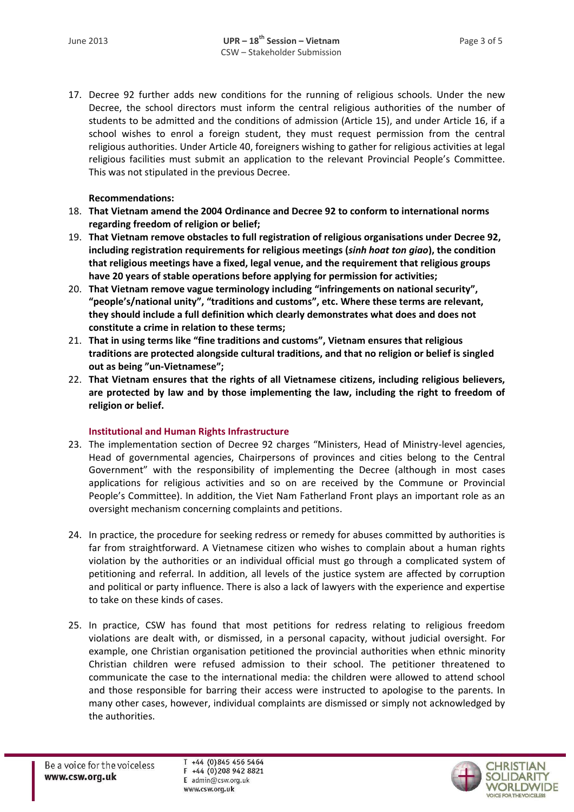17. Decree 92 further adds new conditions for the running of religious schools. Under the new Decree, the school directors must inform the central religious authorities of the number of students to be admitted and the conditions of admission (Article 15), and under Article 16, if a school wishes to enrol a foreign student, they must request permission from the central religious authorities. Under Article 40, foreigners wishing to gather for religious activities at legal religious facilities must submit an application to the relevant Provincial People's Committee. This was not stipulated in the previous Decree.

## **Recommendations:**

- 18. **That Vietnam amend the 2004 Ordinance and Decree 92 to conform to international norms regarding freedom of religion or belief;**
- 19. **That Vietnam remove obstacles to full registration of religious organisations under Decree 92, including registration requirements for religious meetings (***sinh hoat ton giao***), the condition that religious meetings have a fixed, legal venue, and the requirement that religious groups have 20 years of stable operations before applying for permission for activities;**
- 20. **That Vietnam remove vague terminology including "infringements on national security", "people's/national unity", "traditions and customs", etc. Where these terms are relevant, they should include a full definition which clearly demonstrates what does and does not constitute a crime in relation to these terms;**
- 21. **That in using terms like "fine traditions and customs", Vietnam ensures that religious traditions are protected alongside cultural traditions, and that no religion or belief is singled out as being "un-Vietnamese";**
- 22. **That Vietnam ensures that the rights of all Vietnamese citizens, including religious believers, are protected by law and by those implementing the law, including the right to freedom of religion or belief.**

#### **Institutional and Human Rights Infrastructure**

- 23. The implementation section of Decree 92 charges "Ministers, Head of Ministry-level agencies, Head of governmental agencies, Chairpersons of provinces and cities belong to the Central Government" with the responsibility of implementing the Decree (although in most cases applications for religious activities and so on are received by the Commune or Provincial People's Committee). In addition, the Viet Nam Fatherland Front plays an important role as an oversight mechanism concerning complaints and petitions.
- 24. In practice, the procedure for seeking redress or remedy for abuses committed by authorities is far from straightforward. A Vietnamese citizen who wishes to complain about a human rights violation by the authorities or an individual official must go through a complicated system of petitioning and referral. In addition, all levels of the justice system are affected by corruption and political or party influence. There is also a lack of lawyers with the experience and expertise to take on these kinds of cases.
- 25. In practice, CSW has found that most petitions for redress relating to religious freedom violations are dealt with, or dismissed, in a personal capacity, without judicial oversight. For example, one Christian organisation petitioned the provincial authorities when ethnic minority Christian children were refused admission to their school. The petitioner threatened to communicate the case to the international media: the children were allowed to attend school and those responsible for barring their access were instructed to apologise to the parents. In many other cases, however, individual complaints are dismissed or simply not acknowledged by the authorities.

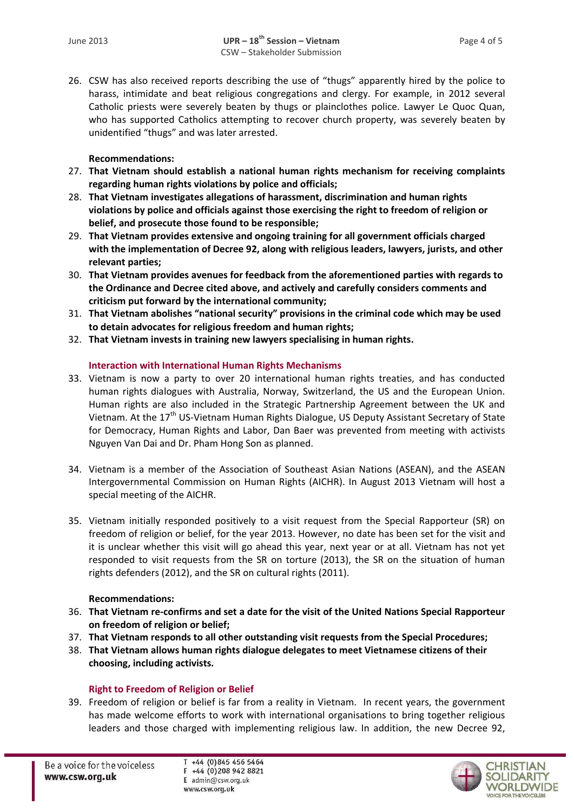26. CSW has also received reports describing the use of "thugs" apparently hired by the police to harass, intimidate and beat religious congregations and clergy. For example, in 2012 several Catholic priests were severely beaten by thugs or plainclothes police. Lawyer Le Quoc Quan, who has supported Catholics attempting to recover church property, was severely beaten by unidentified "thugs" and was later arrested.

## **Recommendations:**

- 27. **That Vietnam should establish a national human rights mechanism for receiving complaints regarding human rights violations by police and officials;**
- 28. **That Vietnam investigates allegations of harassment, discrimination and human rights violations by police and officials against those exercising the right to freedom of religion or belief, and prosecute those found to be responsible;**
- 29. **That Vietnam provides extensive and ongoing training for all government officials charged with the implementation of Decree 92, along with religious leaders, lawyers, jurists, and other relevant parties;**
- 30. **That Vietnam provides avenues for feedback from the aforementioned parties with regards to the Ordinance and Decree cited above, and actively and carefully considers comments and criticism put forward by the international community;**
- 31. **That Vietnam abolishes "national security" provisions in the criminal code which may be used to detain advocates for religious freedom and human rights;**
- 32. **That Vietnam invests in training new lawyers specialising in human rights.**

## **Interaction with International Human Rights Mechanisms**

- 33. Vietnam is now a party to over 20 international human rights treaties, and has conducted human rights dialogues with Australia, Norway, Switzerland, the US and the European Union. Human rights are also included in the Strategic Partnership Agreement between the UK and Vietnam. At the 17<sup>th</sup> US-Vietnam Human Rights Dialogue, US Deputy Assistant Secretary of State for Democracy, Human Rights and Labor, Dan Baer was prevented from meeting with activists Nguyen Van Dai and Dr. Pham Hong Son as planned.
- 34. Vietnam is a member of the Association of Southeast Asian Nations (ASEAN), and the ASEAN Intergovernmental Commission on Human Rights (AICHR). In August 2013 Vietnam will host a special meeting of the AICHR.
- 35. Vietnam initially responded positively to a visit request from the Special Rapporteur (SR) on freedom of religion or belief, for the year 2013. However, no date has been set for the visit and it is unclear whether this visit will go ahead this year, next year or at all. Vietnam has not yet responded to visit requests from the SR on torture (2013), the SR on the situation of human rights defenders (2012), and the SR on cultural rights (2011).

#### **Recommendations:**

- 36. **That Vietnam re-confirms and set a date for the visit of the United Nations Special Rapporteur on freedom of religion or belief;**
- 37. **That Vietnam responds to all other outstanding visit requests from the Special Procedures;**
- 38. **That Vietnam allows human rights dialogue delegates to meet Vietnamese citizens of their choosing, including activists.**

## **Right to Freedom of Religion or Belief**

39. Freedom of religion or belief is far from a reality in Vietnam. In recent years, the government has made welcome efforts to work with international organisations to bring together religious leaders and those charged with implementing religious law. In addition, the new Decree 92,